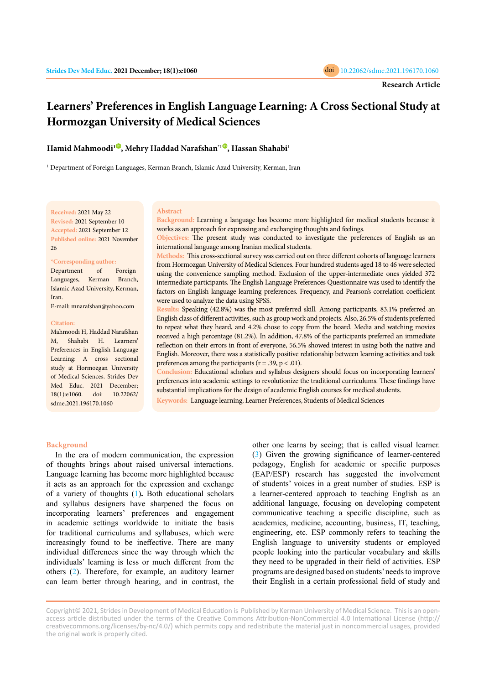

# **Learners' Preferences in English Language Learning: A Cross Sectional Study at Hormozgan University of Medical Sciences**

**Hamid Mahmoodi[1](https://orcid.org/0000-0002-4138-0463) , Mehry Haddad Narafshan\*[1](https://orcid.org/0000-0003-2598-5291) , Hassan Shahabi1**

<sup>1</sup> Department of Foreign Languages, Kerman Branch, Islamic Azad University, Kerman, Iran

**Received:** 2021 May 22 **Revised:** 2021 September 10 **Accepted:** 2021 September 12 **Published online:** 2021 November 26

#### **\*Corresponding author:**

Department of Foreign Languages, Kerman Branch, Islamic Azad University, Kerman, Iran.

E-mail: mnarafshan@yahoo.com

#### **Citation:**

Mahmoodi H, Haddad Narafshan M, Shahabi H. Learners' Preferences in English Language Learning: A cross sectional study at Hormozgan University of Medical Sciences. Strides Dev Med Educ. 2021 December; 18(1):e1060. doi: 10.22062/ sdme.2021.196170.1060

#### **Abstract**

**Background:** Learning a language has become more highlighted for medical students because it works as an approach for expressing and exchanging thoughts and feelings.

**Objectives:** The present study was conducted to investigate the preferences of English as an international language among Iranian medical students.

**Methods:** This cross-sectional survey was carried out on three different cohorts of language learners from Hormozgan University of Medical Sciences. Four hundred students aged 18 to 46 were selected using the convenience sampling method. Exclusion of the upper-intermediate ones yielded 372 intermediate participants. The English Language Preferences Questionnaire was used to identify the factors on English language learning preferences. Frequency, and Pearson's correlation coefficient were used to analyze the data using SPSS.

**Results:** Speaking (42.8%) was the most preferred skill. Among participants, 83.1% preferred an English class of different activities, such as group work and projects. Also, 26.5% of students preferred to repeat what they heard, and 4.2% chose to copy from the board. Media and watching movies received a high percentage (81.2%). In addition, 47.8% of the participants preferred an immediate reflection on their errors in front of everyone, 56.5% showed interest in using both the native and English. Moreover, there was a statistically positive relationship between learning activities and task preferences among the participants ( $r = .39$ ,  $p < .01$ ).

**Conclusion:** Educational scholars and syllabus designers should focus on incorporating learners' preferences into academic settings to revolutionize the traditional curriculums. These findings have substantial implications for the design of academic English courses for medical students.

**Keywords:** Language learning, Learner Preferences, Students of Medical Sciences

#### **Background**

In the era of modern communication, the expression of thoughts brings about raised universal interactions. Language learning has become more highlighted because it acts as an approach for the expression and exchange of a variety of thoughts [\(1](#page-5-0))**.** Both educational scholars and syllabus designers have sharpened the focus on incorporating learners' preferences and engagement in academic settings worldwide to initiate the basis for traditional curriculums and syllabuses, which were increasingly found to be ineffective. There are many individual differences since the way through which the individuals' learning is less or much different from the others [\(2](#page-5-0)). Therefore, for example, an auditory learner can learn better through hearing, and in contrast, the

other one learns by seeing; that is called visual learner. ([3](#page-5-0)) Given the growing significance of learner-centered pedagogy, English for academic or specific purposes (EAP/ESP) research has suggested the involvement of students' voices in a great number of studies. ESP is a learner-centered approach to teaching English as an additional language, focusing on developing competent communicative teaching a specific discipline, such as academics, medicine, accounting, business, IT, teaching, engineering, etc. ESP commonly refers to teaching the English language to university students or employed people looking into the particular vocabulary and skills they need to be upgraded in their field of activities. ESP programs are designed based on students' needs to improve their English in a certain professional field of study and

Copyright© 2021, Strides in Development of Medical Education is Published by Kerman University of Medical Science. This is an openaccess article distributed under the terms of the Creative Commons Attribution-NonCommercial 4.0 International License (http:// creativecommons.org/licenses/by-nc/4.0/) which permits copy and redistribute the material just in noncommercial usages, provided the original work is properly cited.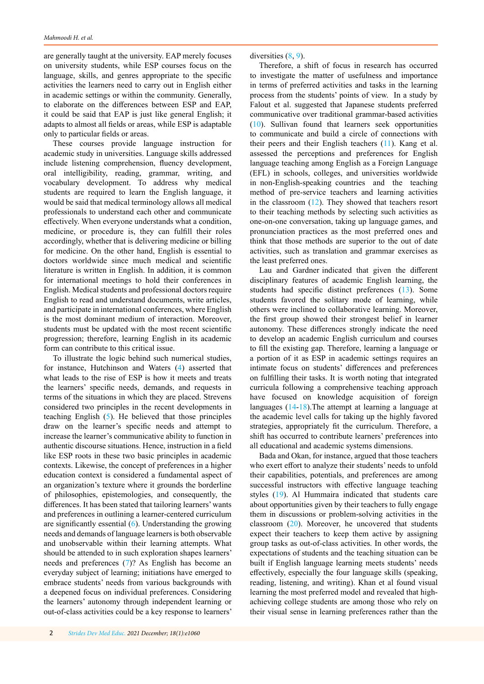are generally taught at the university. EAP merely focuses on university students, while ESP courses focus on the language, skills, and genres appropriate to the specific activities the learners need to carry out in English either in academic settings or within the community. Generally, to elaborate on the differences between ESP and EAP, it could be said that EAP is just like general English; it adapts to almost all fields or areas, while ESP is adaptable only to particular fields or areas.

These courses provide language instruction for academic study in universities. Language skills addressed include listening comprehension, fluency development, oral intelligibility, reading, grammar, writing, and vocabulary development. To address why medical students are required to learn the English language, it would be said that medical terminology allows all medical professionals to understand each other and communicate effectively. When everyone understands what a condition, medicine, or procedure is, they can fulfill their roles accordingly, whether that is delivering medicine or billing for medicine. On the other hand, English is essential to doctors worldwide since much medical and scientific literature is written in English. In addition, it is common for international meetings to hold their conferences in English. Medical students and professional doctors require English to read and understand documents, write articles, and participate in international conferences, where English is the most dominant medium of interaction. Moreover, students must be updated with the most recent scientific progression; therefore, learning English in its academic form can contribute to this critical issue.

To illustrate the logic behind such numerical studies, for instance, Hutchinson and Waters ([4\)](#page-5-0) asserted that what leads to the rise of ESP is how it meets and treats the learners' specific needs, demands, and requests in terms of the situations in which they are placed. Strevens considered two principles in the recent developments in teaching English ([5\)](#page-5-0). He believed that those principles draw on the learner's specific needs and attempt to increase the learner's communicative ability to function in authentic discourse situations. Hence, instruction in a field like ESP roots in these two basic principles in academic contexts. Likewise, the concept of preferences in a higher education context is considered a fundamental aspect of an organization's texture where it grounds the borderline of philosophies, epistemologies, and consequently, the differences. It has been stated that tailoring learners' wants and preferences in outlining a learner-centered curriculum are significantly essential ([6](#page-5-0)). Understanding the growing needs and demands of language learners is both observable and unobservable within their learning attempts. What should be attended to in such exploration shapes learners' needs and preferences [\(7](#page-5-0))? As English has become an everyday subject of learning; initiations have emerged to embrace students' needs from various backgrounds with a deepened focus on individual preferences. Considering the learners' autonomy through independent learning or out-of-class activities could be a key response to learners'

diversities [\(8](#page-5-0), [9](#page-5-0)).

Therefore, a shift of focus in research has occurred to investigate the matter of usefulness and importance in terms of preferred activities and tasks in the learning process from the students' points of view. In a study by Falout et al. suggested that Japanese students preferred communicative over traditional grammar-based activities ([10\)](#page-5-0). Sullivan found that learners seek opportunities to communicate and build a circle of connections with their peers and their English teachers ([11](#page-5-0)). Kang et al. assessed the perceptions and preferences for English language teaching among English as a Foreign Language (EFL) in schools, colleges, and universities worldwide in non-English-speaking countries and the teaching method of pre-service teachers and learning activities in the classroom  $(12)$  $(12)$  $(12)$ . They showed that teachers resort to their teaching methods by selecting such activities as one-on-one conversation, taking up language games, and pronunciation practices as the most preferred ones and think that those methods are superior to the out of date activities, such as translation and grammar exercises as the least preferred ones.

Lau and Gardner indicated that given the different disciplinary features of academic English learning, the students had specific distinct preferences ([13](#page-5-0)). Some students favored the solitary mode of learning, while others were inclined to collaborative learning. Moreover, the first group showed their strongest belief in learner autonomy. These differences strongly indicate the need to develop an academic English curriculum and courses to fill the existing gap. Therefore, learning a language or a portion of it as ESP in academic settings requires an intimate focus on students' differences and preferences on fulfilling their tasks. It is worth noting that integrated curricula following a comprehensive teaching approach have focused on knowledge acquisition of foreign languages [\(14](#page-5-0)-[18](#page-5-0)).The attempt at learning a language at the academic level calls for taking up the highly favored strategies, appropriately fit the curriculum. Therefore, a shift has occurred to contribute learners' preferences into all educational and academic systems dimensions.

Bada and Okan, for instance, argued that those teachers who exert effort to analyze their students' needs to unfold their capabilities, potentials, and preferences are among successful instructors with effective language teaching styles ([19\)](#page-5-0). Al Hummaira indicated that students care about opportunities given by their teachers to fully engage them in discussions or problem-solving activities in the classroom ([20\)](#page-5-0). Moreover, he uncovered that students expect their teachers to keep them active by assigning group tasks as out-of-class activities. In other words, the expectations of students and the teaching situation can be built if English language learning meets students' needs effectively, especially the four language skills (speaking, reading, listening, and writing). Khan et al found visual learning the most preferred model and revealed that highachieving college students are among those who rely on their visual sense in learning preferences rather than the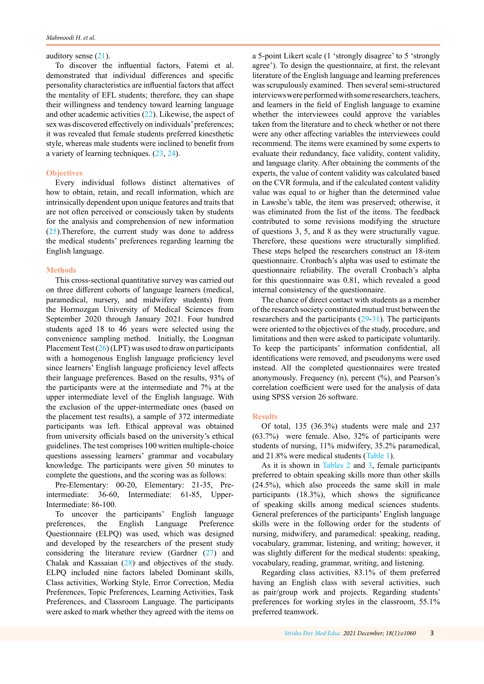#### auditory sense  $(21)$  $(21)$ .

To discover the influential factors, Fatemi et al. demonstrated that individual differences and specific personality characteristics are influential factors that affect the mentality of EFL students; therefore, they can shape their willingness and tendency toward learning language and other academic activities [\(22](#page-5-0)). Likewise, the aspect of sex was discovered effectively on individuals' preferences; it was revealed that female students preferred kinesthetic style, whereas male students were inclined to benefit from a variety of learning techniques. [\(23](#page-5-0), [24](#page-5-0)).

## **Objectives**

Every individual follows distinct alternatives of how to obtain, retain, and recall information, which are intrinsically dependent upon unique features and traits that are not often perceived or consciously taken by students for the analysis and comprehension of new information [\(25](#page-5-0)).Therefore, the current study was done to address the medical students' preferences regarding learning the English language.

## **Methods**

This cross-sectional quantitative survey was carried out on three different cohorts of language learners (medical, paramedical, nursery, and midwifery students) from the Hormozgan University of Medical Sciences from September 2020 through January 2021. Four hundred students aged 18 to 46 years were selected using the convenience sampling method. Initially, the Longman Placement Test  $(26)$  $(26)$  $(26)$  (LPT) was used to draw on participants with a homogenous English language proficiency level since learners' English language proficiency level affects their language preferences. Based on the results, 93% of the participants were at the intermediate and 7% at the upper intermediate level of the English language. With the exclusion of the upper-intermediate ones (based on the placement test results), a sample of 372 intermediate participants was left. Ethical approval was obtained from university officials based on the university's ethical guidelines. The test comprises 100 written multiple-choice questions assessing learners' grammar and vocabulary knowledge. The participants were given 50 minutes to complete the questions, and the scoring was as follows:

Pre-Elementary: 00-20, Elementary: 21-35, Preintermediate: 36-60, Intermediate: 61-85, Upper-Intermediate: 86-100.

To uncover the participants' English language preferences, the English Language Preference Questionnaire (ELPQ) was used, which was designed and developed by the researchers of the present study considering the literature review (Gardner  $(27)$  $(27)$  and Chalak and Kassaian  $(28)$  $(28)$  and objectives of the study. ELPQ included nine factors labeled Dominant skills, Class activities, Working Style, Error Correction, Media Preferences, Topic Preferences, Learning Activities, Task Preferences, and Classroom Language. The participants were asked to mark whether they agreed with the items on

a 5-point Likert scale (1 'strongly disagree' to 5 'strongly agree'). To design the questionnaire, at first, the relevant literature of the English language and learning preferences was scrupulously examined. Then several semi-structured interviews were performed with some researchers, teachers, and learners in the field of English language to examine whether the interviewees could approve the variables taken from the literature and to check whether or not there were any other affecting variables the interviewees could recommend. The items were examined by some experts to evaluate their redundancy, face validity, content validity, and language clarity. After obtaining the comments of the experts, the value of content validity was calculated based on the CVR formula, and if the calculated content validity value was equal to or higher than the determined value in Lawshe's table, the item was preserved; otherwise, it was eliminated from the list of the items. The feedback contributed to some revisions modifying the structure of questions 3, 5, and 8 as they were structurally vague. Therefore, these questions were structurally simplified. These steps helped the researchers construct an 18-item questionnaire. Cronbach's alpha was used to estimate the questionnaire reliability. The overall Cronbach's alpha for this questionnaire was 0.81, which revealed a good internal consistency of the questionnaire.

The chance of direct contact with students as a member of the research society constituted mutual trust between the researchers and the participants [\(29](#page-5-0)-[31](#page-6-0)). The participants were oriented to the objectives of the study, procedure, and limitations and then were asked to participate voluntarily. To keep the participants' information confidential, all identifications were removed, and pseudonyms were used instead. All the completed questionnaires were treated anonymously. Frequency (n), percent (%), and Pearson's correlation coefficient were used for the analysis of data using SPSS version 26 software.

#### **Results**

Of total, 135 (36.3%) students were male and 237 (63.7%) were female. Also, 32% of participants were students of nursing, 11% midwifery, 35.2% paramedical, and 21.8% were medical students ([Table 1](#page-3-0)).

As it is shown in [Tables 2](#page-3-0) and [3,](#page-3-0) female participants preferred to obtain speaking skills more than other skills (24.5%), which also proceeds the same skill in male participants (18.3%), which shows the significance of speaking skills among medical sciences students. General preferences of the participants' English language skills were in the following order for the students of nursing, midwifery, and paramedical: speaking, reading, vocabulary, grammar, listening, and writing; however, it was slightly different for the medical students: speaking, vocabulary, reading, grammar, writing, and listening.

Regarding class activities, 83.1% of them preferred having an English class with several activities, such as pair/group work and projects. Regarding students' preferences for working styles in the classroom, 55.1% preferred teamwork.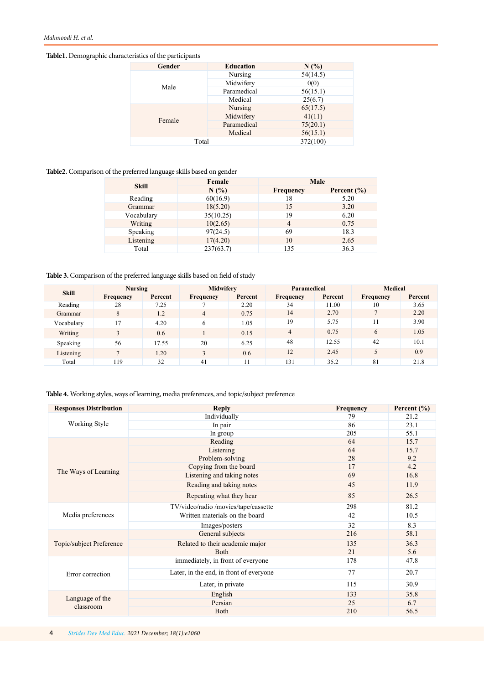<span id="page-3-0"></span>**Table1.** Demographic characteristics of the participants

| Gender | <b>Education</b> | N(%      |
|--------|------------------|----------|
|        | Nursing          | 54(14.5) |
| Male   | Midwifery        | 0(0)     |
|        | Paramedical      | 56(15.1) |
|        | Medical          | 25(6.7)  |
| Female | Nursing          | 65(17.5) |
|        | Midwifery        | 41(11)   |
|        | Paramedical      | 75(20.1) |
|        | Medical          | 56(15.1) |
| Total  |                  | 372(100) |

**Table2.** Comparison of the preferred language skills based on gender

| <b>Skill</b> | Female    |                  | Male            |  |  |
|--------------|-----------|------------------|-----------------|--|--|
|              | N(%       | <b>Frequency</b> | Percent $(\% )$ |  |  |
| Reading      | 60(16.9)  | 18               | 5.20            |  |  |
| Grammar      | 18(5.20)  | 15               | 3.20            |  |  |
| Vocabulary   | 35(10.25) | 19               | 6.20            |  |  |
| Writing      | 10(2.65)  | $\overline{4}$   | 0.75            |  |  |
| Speaking     | 97(24.5)  | 69               | 18.3            |  |  |
| Listening    | 17(4.20)  | 10               | 2.65            |  |  |
| Total        | 237(63.7) | 135              | 36.3            |  |  |

## **Table 3.** Comparison of the preferred language skills based on field of study

| <b>Skill</b> | <b>Nursing</b>   |         | Midwifery      |         | Paramedical    |         | <b>Medical</b>   |         |
|--------------|------------------|---------|----------------|---------|----------------|---------|------------------|---------|
|              | <b>Frequency</b> | Percent | Frequency      | Percent | Frequency      | Percent | <b>Frequency</b> | Percent |
| Reading      | 28               | 7.25    |                | 2.20    | 34             | 11.00   | 10               | 3.65    |
| Grammar      | 8                | 1.2     | $\overline{4}$ | 0.75    | 14             | 2.70    |                  | 2.20    |
| Vocabulary   | 17               | 4.20    | 6              | 1.05    | 19             | 5.75    |                  | 3.90    |
| Writing      |                  | 0.6     |                | 0.15    | $\overline{4}$ | 0.75    | 6                | 1.05    |
| Speaking     | 56               | 17.55   | 20             | 6.25    | 48             | 12.55   | 42               | 10.1    |
| Listening    |                  | 1.20    | 3              | 0.6     | 12             | 2.45    |                  | 0.9     |
| Total        | 119              | 32      | 41             | 11      | 131            | 35.2    | 81               | 21.8    |

**Table 4.** Working styles, ways of learning, media preferences, and topic/subject preference

| <b>Responses Distribution</b> | <b>Reply</b>                            | <b>Frequency</b> | Percent $(\% )$ |
|-------------------------------|-----------------------------------------|------------------|-----------------|
| Working Style                 | Individually                            | 79               | 21.2            |
|                               | In pair                                 | 86               | 23.1            |
|                               | In group                                | 205              | 55.1            |
|                               | Reading                                 | 64               | 15.7            |
|                               | Listening                               | 64               | 15.7            |
|                               | Problem-solving                         | 28               | 9.2             |
| The Ways of Learning          | Copying from the board                  | 17               | 4.2             |
|                               | Listening and taking notes              | 69               | 16.8            |
|                               | Reading and taking notes                | 45               | 11.9            |
|                               | Repeating what they hear                | 85               | 26.5            |
| Media preferences             | TV/video/radio /movies/tape/cassette    | 298              | 81.2            |
|                               | Written materials on the board          | 42               | 10.5            |
|                               | Images/posters                          | 32               | 8.3             |
| Topic/subject Preference      | General subjects                        | 216              | 58.1            |
|                               | Related to their academic major         | 135              | 36.3            |
|                               | <b>Both</b>                             | 21               | 5.6             |
| Error correction              | immediately, in front of everyone       | 178              | 47.8            |
|                               | Later, in the end, in front of everyone | 77               | 20.7            |
|                               | Later, in private                       | 115              | 30.9            |
| Language of the<br>classroom  | English                                 | 133              | 35.8            |
|                               | Persian                                 | 25               | 6.7             |
|                               | <b>Both</b>                             | 210              | 56.5            |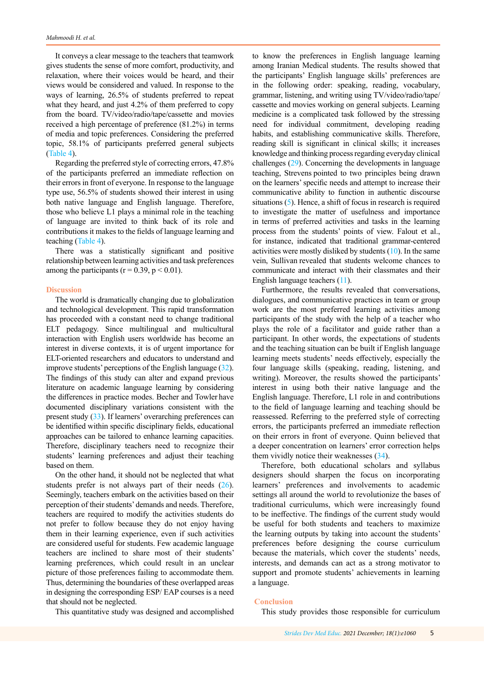It conveys a clear message to the teachers that teamwork gives students the sense of more comfort, productivity, and relaxation, where their voices would be heard, and their views would be considered and valued. In response to the ways of learning, 26.5% of students preferred to repeat what they heard, and just 4.2% of them preferred to copy from the board. TV/video/radio/tape/cassette and movies received a high percentage of preference (81.2%) in terms of media and topic preferences. Considering the preferred topic, 58.1% of participants preferred general subjects ([Table 4](#page-3-0)).

Regarding the preferred style of correcting errors, 47.8% of the participants preferred an immediate reflection on their errors in front of everyone. In response to the language type use, 56.5% of students showed their interest in using both native language and English language. Therefore, those who believe L1 plays a minimal role in the teaching of language are invited to think back of its role and contributions it makes to the fields of language learning and teaching ([Table 4](#page-3-0)).

There was a statistically significant and positive relationship between learning activities and task preferences among the participants ( $r = 0.39$ ,  $p < 0.01$ ).

#### **Discussion**

The world is dramatically changing due to globalization and technological development. This rapid transformation has proceeded with a constant need to change traditional ELT pedagogy. Since multilingual and multicultural interaction with English users worldwide has become an interest in diverse contexts, it is of urgent importance for ELT-oriented researchers and educators to understand and improve students' perceptions of the English language [\(32](#page-6-0)). The findings of this study can alter and expand previous literature on academic language learning by considering the differences in practice modes. Becher and Towler have documented disciplinary variations consistent with the present study [\(33](#page-6-0)). If learners' overarching preferences can be identified within specific disciplinary fields, educational approaches can be tailored to enhance learning capacities. Therefore, disciplinary teachers need to recognize their students' learning preferences and adjust their teaching based on them.

On the other hand, it should not be neglected that what students prefer is not always part of their needs [\(26\)](#page-5-0). Seemingly, teachers embark on the activities based on their perception of their students' demands and needs. Therefore, teachers are required to modify the activities students do not prefer to follow because they do not enjoy having them in their learning experience, even if such activities are considered useful for students. Few academic language teachers are inclined to share most of their students' learning preferences, which could result in an unclear picture of those preferences failing to accommodate them. Thus, determining the boundaries of these overlapped areas in designing the corresponding ESP/ EAP courses is a need that should not be neglected.

This quantitative study was designed and accomplished

to know the [preferences in English language learning](https://onlinelibrary.wiley.com/doi/10.1111/pops.12448) among Iranian Medical students. The results showed that the participants' English language skills' preferences are in the following order: speaking, reading, vocabulary, grammar, listening, and writing using TV/video/radio/tape/ cassette and movies working on general subjects. Learning medicine is a complicated task followed by the stressing need for individual commitment, developing reading habits, and establishing communicative skills. Therefore, reading skill is significant in clinical skills; it increases knowledge and thinking process regarding everyday clinical challenges ([29](#page-5-0)). Concerning the developments in language teaching, Strevens pointed to two principles being drawn on the learners' specific needs and attempt to increase their communicative ability to function in authentic discourse situations [\(5](#page-5-0)). Hence, a shift of focus in research is required to investigate the matter of usefulness and importance in terms of preferred activities and tasks in the learning process from the students' points of view. Falout et al., for instance, indicated that traditional grammar-centered activities were mostly disliked by students [\(10](#page-5-0)). In the same vein, Sullivan revealed that students welcome chances to communicate and interact with their classmates and their English language teachers [\(11](#page-5-0)).

Furthermore, the results revealed that conversations, dialogues, and communicative practices in team or group work are the most preferred learning activities among participants of the study with the help of a teacher who plays the role of a facilitator and guide rather than a participant. In other words, the expectations of students and the teaching situation can be built if English language learning meets students' needs effectively, especially the four language skills (speaking, reading, listening, and writing). Moreover, the results showed the participants' interest in using both their native language and the English language. Therefore, L1 role in and contributions to the field of language learning and teaching should be reassessed. Referring to the preferred style of correcting errors, the participants preferred an immediate reflection on their errors in front of everyone. Quinn believed that a deeper concentration on learners' error correction helps them vividly notice their weaknesses ([34\)](#page-6-0).

Therefore, both educational scholars and syllabus designers should sharpen the focus on incorporating learners' preferences and involvements to academic settings all around the world to revolutionize the bases of traditional curriculums, which were increasingly found to be ineffective. The findings of the current study would be useful for both students and teachers to maximize the learning outputs by taking into account the students' preferences before designing the course curriculum because the materials, which cover the students' needs, interests, and demands can act as a strong motivator to support and promote students' achievements in learning a language.

#### **Conclusion**

This study provides those responsible for curriculum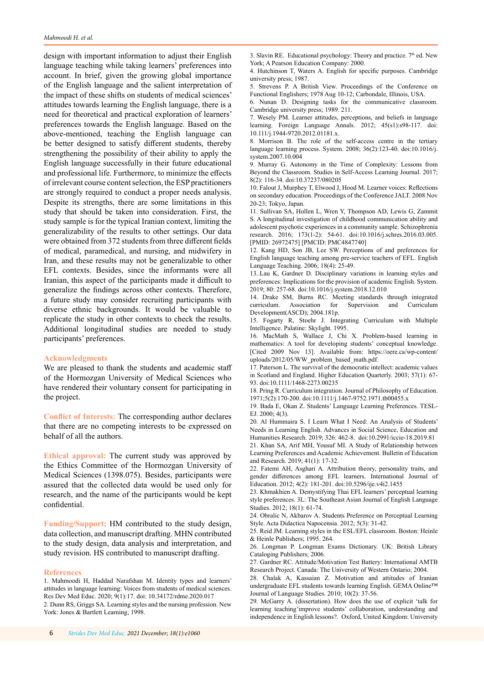<span id="page-5-0"></span>design with important information to adjust their English language teaching while taking learners' preferences into account. In brief, given the growing global importance of the English language and the salient interpretation of the impact of these shifts on students of medical sciences' attitudes towards learning the English language, there is a need for theoretical and practical exploration of learners' preferences towards the English language. Based on the above-mentioned, teaching the English language can be better designed to satisfy different students, thereby strengthening the possibility of their ability to apply the English language successfully in their future educational and professional life. Furthermore, to minimize the effects of irrelevant course content selection, the ESP practitioners are strongly required to conduct a proper needs analysis. Despite its strengths, there are some limitations in this study that should be taken into consideration. First, the study sample is for the typical Iranian context, limiting the generalizability of the results to other settings. Our data were obtained from 372 students from three different fields of medical, paramedical, and nursing, and midwifery in Iran, and these results may not be generalizable to other EFL contexts. Besides, since the informants were all Iranian, this aspect of the participants made it difficult to generalize the findings across other contexts. Therefore, a future study may consider recruiting participants with diverse ethnic backgrounds. It would be valuable to replicate the study in other contexts to check the results. Additional longitudinal studies are needed to study participants' preferences.

## **Acknowledgments**

We are pleased to thank the students and academic staff of the Hormozgan University of Medical Sciences who have rendered their voluntary consent for participating in the project.

**Conflict of Interests:** The corresponding author declares that there are no competing interests to be expressed on behalf of all the authors.

**Ethical approval:** The current study was approved by the Ethics Committee of the Hormozgan University of Medical Sciences (1398.075). Besides, participants were assured that the collected data would be used only for research, and the name of the participants would be kept confidential.

**Funding/Support:** HM contributed to the study design, data collection, and manuscript drafting. MHN contributed to the study design, data analysis and interpretation, and study revision. HS contributed to manuscript drafting.

#### **References**

3. Slavin RE. Educational psychology: Theory and practice.  $7<sup>th</sup>$  ed. New York; A Pearson Education Company: 2000.

4. Hutchinson T, Waters A. English for specific purposes. Cambridge university press; 1987.

5. Strevens P. A British View. Proceedings of the Conference on Functional Englishers; 1978 Aug 10-12; Carbondale, Illinois, USA.

6. Nunan D. Designing tasks for the communicative classroom. Cambridge university press; 1989. 211.

7. Wesely PM. Learner attitudes, perceptions, and beliefs in language learning. Foreign Language Annals. 2012; 45(s1):s98-117. doi: 10.111/j.1944-9720.2012.01181.x.

8. Morrison B. The role of the self-access centre in the tertiary language learning process. System. 2008; 36(2):123-40. doi:10.1016/j. system.2007.10.004

9. Murray G. Autonomy in the Time of Complexity: Lessons from Beyond the Classroom. Studies in Self-Access Learning Journal. 2017; 8(2): 116-34. doi:10.37237/080205

10. Falout J, Murphey T, Elwood J, Hood M. Learner voices: Reflections on secondary education. Proceedings of the Conference JALT. 2008 Nov 20-23; Tokyo, Japan.

11. Sullivan SA, Hollen L, Wren Y, Thompson AD, Lewis G, Zammit S. A longitudinal investigation of childhood communication ability and adolescent psychotic experiences in a community sample. Schizophrenia research. 2016; 173(1-2): 54-61. doi:10.1016/j.schres.2016.03.005. [PMID: 26972475] [PMCID: PMC4847740]

12. Kang HD, Son JB, Lee SW. Perceptions of and preferences for English language teaching among pre-service teachers of EFL. English Language Teaching. 2006; 18(4): 25-49.

13..Lau K, Gardner D. Disciplinary variations in learning styles and preferences: Implications for the provision of academic English. System. 2019; 80: 257-68. doi:10.1016/j.system.2018.12.010

14. Drake SM, Burns RC. Meeting standards through integrated curriculum. Association for Supervision and Curriculum Development(ASCD); 2004.181p.

15. Fogarty R, Stoehr J. Integrating Curriculum with Multiple Intelligence. Palatine: Skylight. 1995.

16. MacMath S, Wallace J, Chi X. Problem-based learning in mathematics: A tool for developing students' conceptual knowledge. [Cited 2009 Nov 13]. Available from: https://oere.ca/wp-content/ uploads/2012/05/WW\_problem\_based\_math.pdf.

17. Paterson L. The survival of the democratic intellect: academic values in Scotland and England. Higher Education Quarterly. 2003; 57(1): 67- 93. doi:10.1111/1468-2273.00235

18. Pring R. Curriculum integration. Journal of Philosophy of Education. 1971;5(2):170-200. doi:10.1111/j.1467-9752.1971.tb00455.x

19. Bada E, Okan Z. Students' Language Learning Preferences. TESL-EJ. 2000; 4(3).

20. Al Hummaira S. I Learn What I Need: An Analysis of Students' Needs in Learning English. Advances in Social Science, Education and Humanities Research. 2019; 326: 462-8. doi:10.2991/iccie-18.2019.81

21. Khan SA, Arif MH, Yousuf MI. A Study of Relationship between Learning Preferences and Academic Achievement. Bulletin of Education and Research. 2019; 41(1): 17-32.

22. Fatemi AH, Asghari A. Attribution theory, personality traits, and gender differences among EFL learners. International Journal of Education. 2012; 4(2): 181-201. doi:10.5296/ije.v4i2.1455

23. Khmakhien A. Demystifying Thai EFL learners' perceptual learning style preferences. 3L: The Southeast Asian Journal of English Language Studies. 2012; 18(1): 61-74.

24. Obralic N, Akbarov A. Students Preference on Perceptual Learning Style. Acta Didactica Napocensia. 2012; 5(3): 31-42.

25. Reid JM. Learning styles in the ESL/EFL classroom. Boston: Heinle & Heinle Publishers; 1995. 264.

26. Longman P. Longman Exams Dictionary. UK: British Library Cataloging Publishers; 2006.

27. Gardner RC. Attitude/Motivation Test Battery: International AMTB Research Project. Canada: The University of Western Ontario; 2004.

28. Chalak A, Kassaian Z. Motivation and attitudes of Iranian undergraduate EFL students towards learning English. GEMA Online™ Journal of Language Studies. 2010; 10(2): 37-56.

29. McGarry A. (dissertation). How does the use of explicit 'talk for learning teaching'improve students' collaboration, understanding and independence in English lessons?. Oxford, United Kingdom: University

<sup>1.</sup> Mahmoodi H, Haddad Narafshan M. Identity types and learners' attitudes in language learning: Voices from students of medical sciences. Res Dev Med Educ. 2020; 9(1):17. doi: 10.34172/rdme.2020.017 2. Dunn RS, Griggs SA. Learning styles and the nursing profession. New York: Jones & Bartlett Learning; 1998.